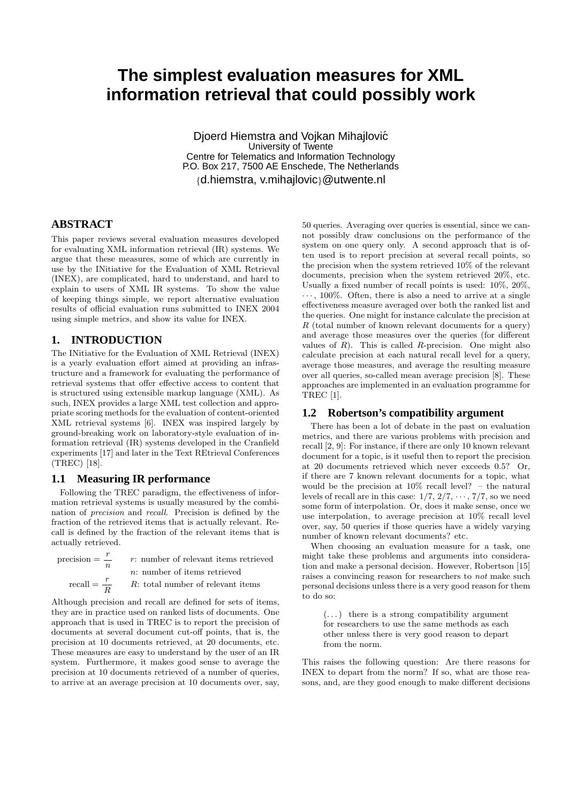# **The simplest evaluation measures for XML information retrieval that could possibly work**

Djoerd Hiemstra and Vojkan Mihajlovic´ University of Twente Centre for Telematics and Information Technology P.O. Box 217, 7500 AE Enschede, The Netherlands {d.hiemstra, v.mihajlovic}@utwente.nl

# **ABSTRACT**

This paper reviews several evaluation measures developed for evaluating XML information retrieval (IR) systems. We argue that these measures, some of which are currently in use by the INitiative for the Evaluation of XML Retrieval (INEX), are complicated, hard to understand, and hard to explain to users of XML IR systems. To show the value of keeping things simple, we report alternative evaluation results of official evaluation runs submitted to INEX 2004 using simple metrics, and show its value for INEX.

### **1. INTRODUCTION**

The INitiative for the Evaluation of XML Retrieval (INEX) is a yearly evaluation effort aimed at providing an infrastructure and a framework for evaluating the performance of retrieval systems that offer effective access to content that is structured using extensible markup language (XML). As such, INEX provides a large XML test collection and appropriate scoring methods for the evaluation of content-oriented XML retrieval systems [6]. INEX was inspired largely by ground-breaking work on laboratory-style evaluation of information retrieval (IR) systems developed in the Cranfield experiments [17] and later in the Text REtrieval Conferences (TREC) [18].

### **1.1 Measuring IR performance**

Following the TREC paradigm, the effectiveness of information retrieval systems is usually measured by the combination of precision and recall. Precision is defined by the fraction of the retrieved items that is actually relevant. Recall is defined by the fraction of the relevant items that is actually retrieved.

| $precision =$ $\frac{7}{2}$   | r: number of relevant items retrieved |
|-------------------------------|---------------------------------------|
|                               | $n:$ number of items retrieved        |
| $\text{recall} = \frac{r}{R}$ | R: total number of relevant items     |

Although precision and recall are defined for sets of items, they are in practice used on ranked lists of documents. One approach that is used in TREC is to report the precision of documents at several document cut-off points, that is, the precision at 10 documents retrieved, at 20 documents, etc. These measures are easy to understand by the user of an IR system. Furthermore, it makes good sense to average the precision at 10 documents retrieved of a number of queries, to arrive at an average precision at 10 documents over, say,

50 queries. Averaging over queries is essential, since we cannot possibly draw conclusions on the performance of the system on one query only. A second approach that is often used is to report precision at several recall points, so the precision when the system retrieved 10% of the relevant documents, precision when the system retrieved 20%, etc. Usually a fixed number of recall points is used: 10%, 20%,  $\cdots$ , 100%. Often, there is also a need to arrive at a single effectiveness measure averaged over both the ranked list and the queries. One might for instance calculate the precision at  $R$  (total number of known relevant documents for a query) and average those measures over the queries (for different values of  $R$ ). This is called  $R$ -precision. One might also calculate precision at each natural recall level for a query, average those measures, and average the resulting measure over all queries, so-called mean average precision [8]. These approaches are implemented in an evaluation programme for TREC [1].

### **1.2 Robertson's compatibility argument**

There has been a lot of debate in the past on evaluation metrics, and there are various problems with precision and recall [2, 9]: For instance, if there are only 10 known relevant document for a topic, is it useful then to report the precision at 20 documents retrieved which never exceeds 0.5? Or, if there are 7 known relevant documents for a topic, what would be the precision at 10% recall level? – the natural levels of recall are in this case:  $1/7$ ,  $2/7$ ,  $\cdots$ ,  $7/7$ , so we need some form of interpolation. Or, does it make sense, once we use interpolation, to average precision at 10% recall level over, say, 50 queries if those queries have a widely varying number of known relevant documents? etc.

When choosing an evaluation measure for a task, one might take these problems and arguments into consideration and make a personal decision. However, Robertson [15] raises a convincing reason for researchers to not make such personal decisions unless there is a very good reason for them to do so:

 $(\dots)$  there is a strong compatibility argument for researchers to use the same methods as each other unless there is very good reason to depart from the norm.

This raises the following question: Are there reasons for INEX to depart from the norm? If so, what are those reasons, and, are they good enough to make different decisions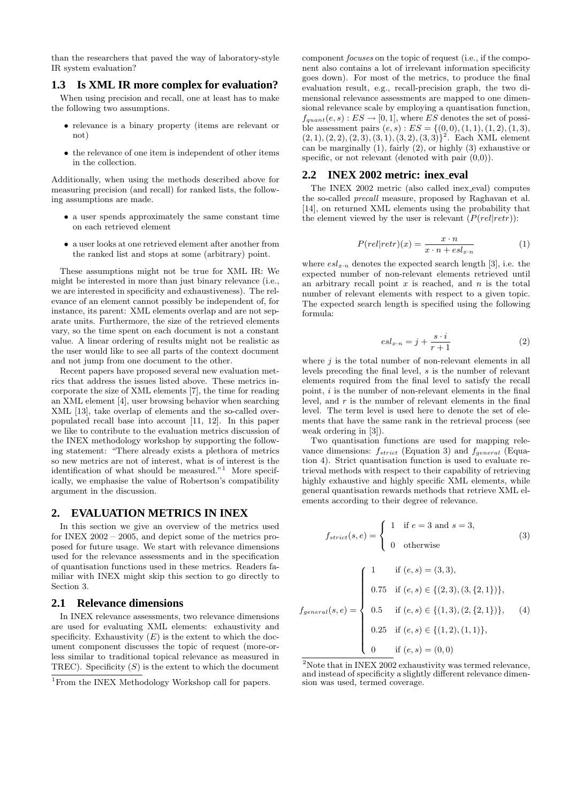than the researchers that paved the way of laboratory-style IR system evaluation?

### **1.3 Is XML IR more complex for evaluation?**

When using precision and recall, one at least has to make the following two assumptions.

- relevance is a binary property (items are relevant or not)
- the relevance of one item is independent of other items in the collection.

Additionally, when using the methods described above for measuring precision (and recall) for ranked lists, the following assumptions are made.

- a user spends approximately the same constant time on each retrieved element
- a user looks at one retrieved element after another from the ranked list and stops at some (arbitrary) point.

These assumptions might not be true for XML IR: We might be interested in more than just binary relevance (i.e., we are interested in specificity and exhaustiveness). The relevance of an element cannot possibly be independent of, for instance, its parent: XML elements overlap and are not separate units. Furthermore, the size of the retrieved elements vary, so the time spent on each document is not a constant value. A linear ordering of results might not be realistic as the user would like to see all parts of the context document and not jump from one document to the other.

Recent papers have proposed several new evaluation metrics that address the issues listed above. These metrics incorporate the size of XML elements [7], the time for reading an XML element [4], user browsing behavior when searching XML [13], take overlap of elements and the so-called overpopulated recall base into account [11, 12]. In this paper we like to contribute to the evaluation metrics discussion of the INEX methodology workshop by supporting the following statement: "There already exists a plethora of metrics so new metrics are not of interest, what is of interest is the identification of what should be measured."<sup>1</sup> More specifically, we emphasise the value of Robertson's compatibility argument in the discussion.

### **2. EVALUATION METRICS IN INEX**

In this section we give an overview of the metrics used for INEX 2002 – 2005, and depict some of the metrics proposed for future usage. We start with relevance dimensions used for the relevance assessments and in the specification of quantisation functions used in these metrics. Readers familiar with INEX might skip this section to go directly to Section 3.

### **2.1 Relevance dimensions**

In INEX relevance assessments, two relevance dimensions are used for evaluating XML elements: exhaustivity and specificity. Exhaustivity  $(E)$  is the extent to which the document component discusses the topic of request (more-orless similar to traditional topical relevance as measured in TREC). Specificity  $(S)$  is the extent to which the document

component focuses on the topic of request (i.e., if the component also contains a lot of irrelevant information specificity goes down). For most of the metrics, to produce the final evaluation result, e.g., recall-precision graph, the two dimensional relevance assessments are mapped to one dimensional relevance scale by employing a quantisation function,  $f_{quant}(e, s) : ES \rightarrow [0, 1]$ , where ES denotes the set of possible assessment pairs  $(e, s)$ :  $ES = \{(0, 0), (1, 1), (1, 2), (1, 3),\}$  $(2, 1), (2, 2), (2, 3), (3, 1), (3, 2), (3, 3)\}^2$ . Each XML element can be marginally (1), fairly (2), or highly (3) exhaustive or specific, or not relevant (denoted with pair  $(0,0)$ ).

### **2.2 INEX 2002 metric: inex eval**

The INEX 2002 metric (also called inex eval) computes the so-called precall measure, proposed by Raghavan et al. [14], on returned XML elements using the probability that the element viewed by the user is relevant  $(P(\text{rel}|\text{retr}))$ :

$$
P(\text{rel}|\text{retr})(x) = \frac{x \cdot n}{x \cdot n + \text{esl}_{x \cdot n}}\tag{1}
$$

where  $esl_{x\cdot n}$  denotes the expected search length [3], i.e. the expected number of non-relevant elements retrieved until an arbitrary recall point  $x$  is reached, and  $n$  is the total number of relevant elements with respect to a given topic. The expected search length is specified using the following formula:

$$
esl_{x\cdot n} = j + \frac{s\cdot i}{r+1} \tag{2}
$$

where  $j$  is the total number of non-relevant elements in all levels preceding the final level, s is the number of relevant elements required from the final level to satisfy the recall point,  $i$  is the number of non-relevant elements in the final level, and  $r$  is the number of relevant elements in the final level. The term level is used here to denote the set of elements that have the same rank in the retrieval process (see weak ordering in [3]).

Two quantisation functions are used for mapping relevance dimensions:  $f_{strict}$  (Equation 3) and  $f_{general}$  (Equation 4). Strict quantisation function is used to evaluate retrieval methods with respect to their capability of retrieving highly exhaustive and highly specific XML elements, while general quantisation rewards methods that retrieve XML elements according to their degree of relevance.

$$
f_{strict}(s, e) = \begin{cases} 1 & \text{if } e = 3 \text{ and } s = 3, \\ 0 & \text{otherwise} \end{cases}
$$
 (3)

$$
f_{general}(s, e) = \begin{cases} 1 & \text{if } (e, s) = (3, 3), \\ 0.75 & \text{if } (e, s) \in \{ (2, 3), (3, \{2, 1\}) \}, \\ 0.5 & \text{if } (e, s) \in \{ (1, 3), (2, \{2, 1\}) \}, \\ 0.25 & \text{if } (e, s) \in \{ (1, 2), (1, 1) \}, \\ 0 & \text{if } (e, s) = (0, 0) \end{cases}
$$
(4)

<sup>&</sup>lt;sup>1</sup>From the INEX Methodology Workshop call for papers.

<sup>&</sup>lt;sup>2</sup>Note that in INEX 2002 exhaustivity was termed relevance. and instead of specificity a slightly different relevance dimension was used, termed coverage.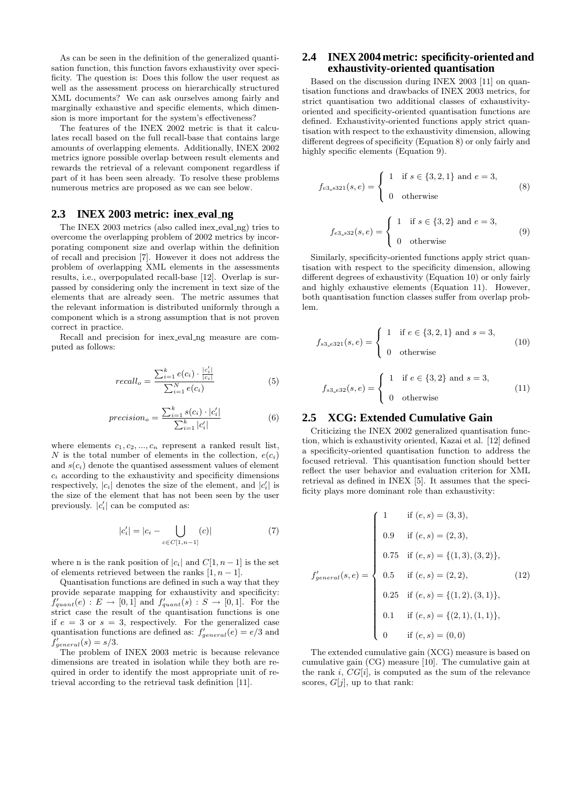As can be seen in the definition of the generalized quantisation function, this function favors exhaustivity over specificity. The question is: Does this follow the user request as well as the assessment process on hierarchically structured XML documents? We can ask ourselves among fairly and marginally exhaustive and specific elements, which dimension is more important for the system's effectiveness?

The features of the INEX 2002 metric is that it calculates recall based on the full recall-base that contains large amounts of overlapping elements. Additionally, INEX 2002 metrics ignore possible overlap between result elements and rewards the retrieval of a relevant component regardless if part of it has been seen already. To resolve these problems numerous metrics are proposed as we can see below.

### **2.3 INEX 2003 metric: inex eval ng**

The INEX 2003 metrics (also called inex eval ng) tries to overcome the overlapping problem of 2002 metrics by incorporating component size and overlap within the definition of recall and precision [7]. However it does not address the problem of overlapping XML elements in the assessments results, i.e., overpopulated recall-base [12]. Overlap is surpassed by considering only the increment in text size of the elements that are already seen. The metric assumes that the relevant information is distributed uniformly through a component which is a strong assumption that is not proven correct in practice.

Recall and precision for inex eval ng measure are computed as follows:

$$
recall_o = \frac{\sum_{i=1}^{k} e(c_i) \cdot \frac{|c'_i|}{|c_i|}}{\sum_{i=1}^{N} e(c_i)}
$$
(5)

$$
precision_o = \frac{\sum_{i=1}^{k} s(c_i) \cdot |c'_i|}{\sum_{i=1}^{k} |c'_i|}
$$
(6)

where elements  $c_1, c_2, ..., c_n$  represent a ranked result list, N is the total number of elements in the collection,  $e(c_i)$ and  $s(c_i)$  denote the quantised assessment values of element  $c_i$  according to the exhaustivity and specificity dimensions respectively,  $|c_i|$  denotes the size of the element, and  $|c'_i|$  is the size of the element that has not been seen by the user previously.  $|c'_i|$  can be computed as:

$$
|c'_{i}| = |c_{i} - \bigcup_{c \in C[1, n-1]} (c)| \tag{7}
$$

where n is the rank position of  $|c_i|$  and  $C[1, n-1]$  is the set of elements retrieved between the ranks  $[1, n - 1]$ .

Quantisation functions are defined in such a way that they provide separate mapping for exhaustivity and specificity:  $f'_{quant}(e) : E \rightarrow [0, 1]$  and  $f'_{quant}(s) : S \rightarrow [0, 1]$ . For the strict case the result of the quantisation functions is one if  $e = 3$  or  $s = 3$ , respectively. For the generalized case quantisation functions are defined as:  $f'_{general}(e) = e/3$  and  $f'_{general}(s) = s/3.$ 

The problem of INEX 2003 metric is because relevance dimensions are treated in isolation while they both are required in order to identify the most appropriate unit of retrieval according to the retrieval task definition [11].

## **2.4 INEX 2004 metric: specificity-oriented and exhaustivity-oriented quantisation**

Based on the discussion during INEX 2003 [11] on quantisation functions and drawbacks of INEX 2003 metrics, for strict quantisation two additional classes of exhaustivityoriented and specificity-oriented quantisation functions are defined. Exhaustivity-oriented functions apply strict quantisation with respect to the exhaustivity dimension, allowing different degrees of specificity (Equation 8) or only fairly and highly specific elements (Equation 9).

$$
f_{e3. s321}(s, e) = \begin{cases} 1 & \text{if } s \in \{3, 2, 1\} \text{ and } e = 3, \\ 0 & \text{otherwise} \end{cases}
$$
 (8)

$$
f_{e3.832}(s,e) = \begin{cases} 1 & \text{if } s \in \{3,2\} \text{ and } e = 3, \\ 0 & \text{otherwise} \end{cases}
$$
 (9)

Similarly, specificity-oriented functions apply strict quantisation with respect to the specificity dimension, allowing different degrees of exhaustivity (Equation 10) or only fairly and highly exhaustive elements (Equation 11). However, both quantisation function classes suffer from overlap problem.

$$
f_{s3.e321}(s,e) = \begin{cases} 1 & \text{if } e \in \{3,2,1\} \text{ and } s = 3, \\ 0 & \text{otherwise} \end{cases}
$$
 (10)

$$
f_{s3.e32}(s, e) = \begin{cases} 1 & \text{if } e \in \{3, 2\} \text{ and } s = 3, \\ 0 & \text{otherwise} \end{cases}
$$
 (11)

### **2.5 XCG: Extended Cumulative Gain**

Criticizing the INEX 2002 generalized quantisation function, which is exhaustivity oriented, Kazai et al. [12] defined a specificity-oriented quantisation function to address the focused retrieval. This quantisation function should better reflect the user behavior and evaluation criterion for XML retrieval as defined in INEX [5]. It assumes that the specificity plays more dominant role than exhaustivity:

$$
f'_{general}(s, e) = \begin{cases} 1 & \text{if } (e, s) = (3, 3), \\ 0.9 & \text{if } (e, s) = (2, 3), \\ 0.75 & \text{if } (e, s) = \{(1, 3), (3, 2)\}, \\ 0.5 & \text{if } (e, s) = (2, 2), \\ 0.25 & \text{if } (e, s) = \{(1, 2), (3, 1)\}, \\ 0.1 & \text{if } (e, s) = \{(2, 1), (1, 1)\}, \\ 0 & \text{if } (e, s) = (0, 0) \end{cases}
$$
(12)

The extended cumulative gain (XCG) measure is based on cumulative gain (CG) measure [10]. The cumulative gain at the rank i,  $CG[i]$ , is computed as the sum of the relevance scores,  $G[j]$ , up to that rank: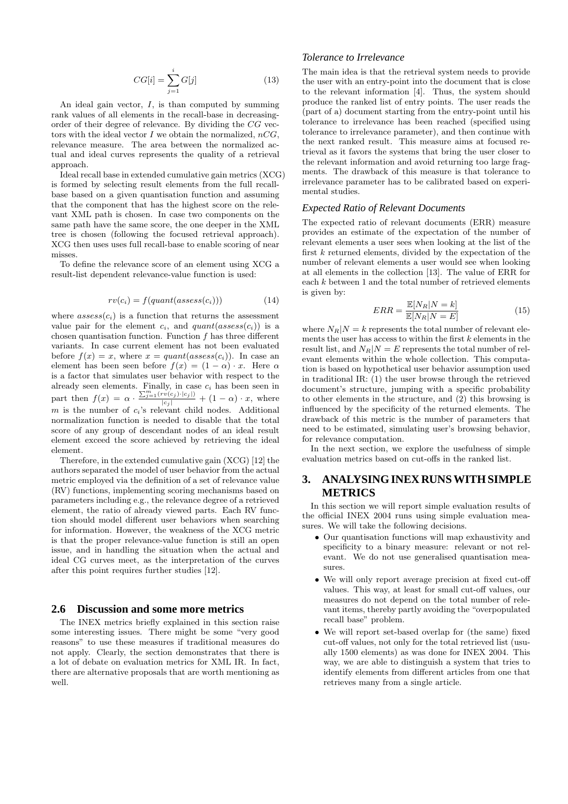$$
CG[i] = \sum_{j=1}^{i} G[j] \tag{13}
$$

An ideal gain vector,  $I$ , is than computed by summing rank values of all elements in the recall-base in decreasingorder of their degree of relevance. By dividing the CG vectors with the ideal vector  $I$  we obtain the normalized,  $nCG$ , relevance measure. The area between the normalized actual and ideal curves represents the quality of a retrieval approach.

Ideal recall base in extended cumulative gain metrics (XCG) is formed by selecting result elements from the full recallbase based on a given quantisation function and assuming that the component that has the highest score on the relevant XML path is chosen. In case two components on the same path have the same score, the one deeper in the XML tree is chosen (following the focused retrieval approach). XCG then uses uses full recall-base to enable scoring of near misses.

To define the relevance score of an element using XCG a result-list dependent relevance-value function is used:

$$
rv(c_i) = f(quant(asses(c_i)))
$$
\n(14)

where  $assess(c_i)$  is a function that returns the assessment value pair for the element  $c_i$ , and  $quant(assess(c_i))$  is a chosen quantisation function. Function  $f$  has three different variants. In case current element has not been evaluated before  $f(x) = x$ , where  $x = quant(assess(c_i))$ . In case an element has been seen before  $f(x) = (1 - \alpha) \cdot x$ . Here  $\alpha$ is a factor that simulates user behavior with respect to the already seen elements. Finally, in case  $c_i$  has been seen in part then  $f(x) = \alpha \cdot \frac{\sum_{j=1}^{m} (rv(c_j) \cdot |c_j|)}{|c_j|} + (1 - \alpha) \cdot x$ , where m is the number of  $c_i$ 's relevant child nodes. Additional normalization function is needed to disable that the total score of any group of descendant nodes of an ideal result element exceed the score achieved by retrieving the ideal element.

Therefore, in the extended cumulative gain (XCG) [12] the authors separated the model of user behavior from the actual metric employed via the definition of a set of relevance value (RV) functions, implementing scoring mechanisms based on parameters including e.g., the relevance degree of a retrieved element, the ratio of already viewed parts. Each RV function should model different user behaviors when searching for information. However, the weakness of the XCG metric is that the proper relevance-value function is still an open issue, and in handling the situation when the actual and ideal CG curves meet, as the interpretation of the curves after this point requires further studies [12].

### **2.6 Discussion and some more metrics**

The INEX metrics briefly explained in this section raise some interesting issues. There might be some "very good reasons" to use these measures if traditional measures do not apply. Clearly, the section demonstrates that there is a lot of debate on evaluation metrics for XML IR. In fact, there are alternative proposals that are worth mentioning as well.

### *Tolerance to Irrelevance*

The main idea is that the retrieval system needs to provide the user with an entry-point into the document that is close to the relevant information [4]. Thus, the system should produce the ranked list of entry points. The user reads the (part of a) document starting from the entry-point until his tolerance to irrelevance has been reached (specified using tolerance to irrelevance parameter), and then continue with the next ranked result. This measure aims at focused retrieval as it favors the systems that bring the user closer to the relevant information and avoid returning too large fragments. The drawback of this measure is that tolerance to irrelevance parameter has to be calibrated based on experimental studies.

### *Expected Ratio of Relevant Documents*

The expected ratio of relevant documents (ERR) measure provides an estimate of the expectation of the number of relevant elements a user sees when looking at the list of the first k returned elements, divided by the expectation of the number of relevant elements a user would see when looking at all elements in the collection [13]. The value of ERR for each  $k$  between 1 and the total number of retrieved elements is given by:

$$
ERR = \frac{\mathbb{E}[N_R|N=k]}{\mathbb{E}[N_R|N=E]} \tag{15}
$$

where  $N_R|N = k$  represents the total number of relevant elements the user has access to within the first  $k$  elements in the result list, and  $N_R|N = E$  represents the total number of relevant elements within the whole collection. This computation is based on hypothetical user behavior assumption used in traditional IR: (1) the user browse through the retrieved document's structure, jumping with a specific probability to other elements in the structure, and (2) this browsing is influenced by the specificity of the returned elements. The drawback of this metric is the number of parameters that need to be estimated, simulating user's browsing behavior, for relevance computation.

In the next section, we explore the usefulness of simple evaluation metrics based on cut-offs in the ranked list.

# **3. ANALYSING INEX RUNS WITH SIMPLE METRICS**

In this section we will report simple evaluation results of the official INEX 2004 runs using simple evaluation measures. We will take the following decisions.

- Our quantisation functions will map exhaustivity and specificity to a binary measure: relevant or not relevant. We do not use generalised quantisation measures.
- We will only report average precision at fixed cut-off values. This way, at least for small cut-off values, our measures do not depend on the total number of relevant items, thereby partly avoiding the "overpopulated recall base" problem.
- We will report set-based overlap for (the same) fixed cut-off values, not only for the total retrieved list (usually 1500 elements) as was done for INEX 2004. This way, we are able to distinguish a system that tries to identify elements from different articles from one that retrieves many from a single article.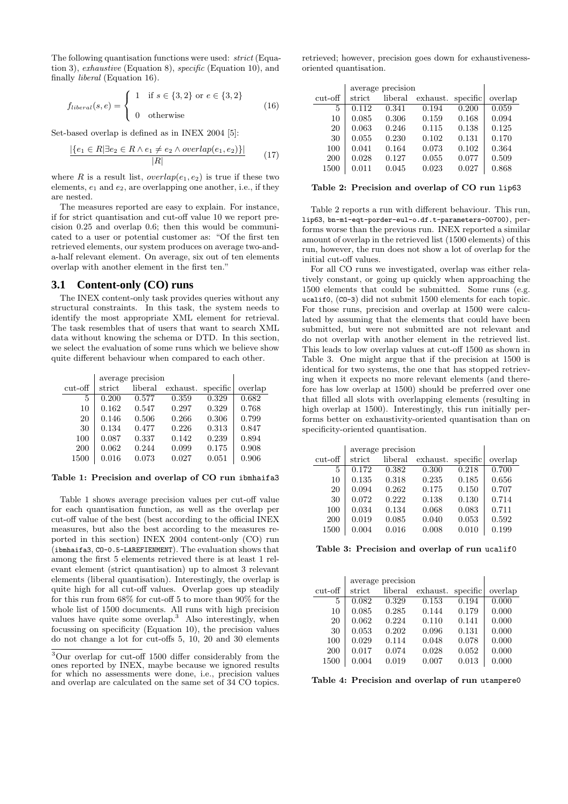The following quantisation functions were used: strict (Equation 3), exhaustive (Equation 8), specific (Equation 10), and finally liberal (Equation 16).

$$
f_{liberal}(s, e) = \begin{cases} 1 & \text{if } s \in \{3, 2\} \text{ or } e \in \{3, 2\} \\ 0 & \text{otherwise} \end{cases}
$$
(16)

Set-based overlap is defined as in INEX 2004 [5]:

$$
\frac{|\{e_1 \in R | \exists e_2 \in R \land e_1 \neq e_2 \land overlap(e_1, e_2)\}|}{|R|} \tag{17}
$$

where R is a result list,  $overlap(e_1, e_2)$  is true if these two elements,  $e_1$  and  $e_2$ , are overlapping one another, i.e., if they are nested.

The measures reported are easy to explain. For instance, if for strict quantisation and cut-off value 10 we report precision 0.25 and overlap 0.6; then this would be communicated to a user or potential customer as: "Of the first ten retrieved elements, our system produces on average two-anda-half relevant element. On average, six out of ten elements overlap with another element in the first ten."

### **3.1 Content-only (CO) runs**

The INEX content-only task provides queries without any structural constraints. In this task, the system needs to identify the most appropriate XML element for retrieval. The task resembles that of users that want to search XML data without knowing the schema or DTD. In this section, we select the evaluation of some runs which we believe show quite different behaviour when compared to each other.

|           | average precision |         |          |          |         |
|-----------|-------------------|---------|----------|----------|---------|
| $cut-off$ | strict            | liberal | exhaust. | specific | overlap |
| 5         | 0.200             | 0.577   | 0.359    | 0.329    | 0.682   |
| 10        | 0.162             | 0.547   | 0.297    | 0.329    | 0.768   |
| 20        | 0.146             | 0.506   | 0.266    | 0.306    | 0.799   |
| 30        | 0.134             | 0.477   | 0.226    | 0.313    | 0.847   |
| 100       | 0.087             | 0.337   | 0.142    | 0.239    | 0.894   |
| 200       | 0.062             | 0.244   | 0.099    | 0.175    | 0.908   |
| 1500      | 0.016             | 0.073   | 0.027    | 0.051    | 0.906   |

### Table 1: Precision and overlap of CO run ibmhaifa3

Table 1 shows average precision values per cut-off value for each quantisation function, as well as the overlap per cut-off value of the best (best according to the official INEX measures, but also the best according to the measures reported in this section) INEX 2004 content-only (CO) run (ibmhaifa3, CO-0.5-LAREFIENMENT). The evaluation shows that among the first 5 elements retrieved there is at least 1 relevant element (strict quantisation) up to almost 3 relevant elements (liberal quantisation). Interestingly, the overlap is quite high for all cut-off values. Overlap goes up steadily for this run from 68% for cut-off 5 to more than 90% for the whole list of 1500 documents. All runs with high precision values have quite some overlap.<sup>3</sup> Also interestingly, when focussing on specificity (Equation 10), the precision values do not change a lot for cut-offs 5, 10, 20 and 30 elements

retrieved; however, precision goes down for exhaustivenessoriented quantisation.

|           |        | average precision |          |          |         |
|-----------|--------|-------------------|----------|----------|---------|
| $cut-off$ | strict | liberal           | exhaust. | specific | overlap |
| 5         | 0.112  | 0.341             | 0.194    | 0.200    | 0.059   |
| 10        | 0.085  | 0.306             | 0.159    | 0.168    | 0.094   |
| 20        | 0.063  | 0.246             | 0.115    | 0.138    | 0.125   |
| 30        | 0.055  | 0.230             | 0.102    | 0.131    | 0.170   |
| 100       | 0.041  | 0.164             | 0.073    | 0.102    | 0.364   |
| 200       | 0.028  | 0.127             | 0.055    | 0.077    | 0.509   |
| 1500      | 0.011  | 0.045             | 0.023    | 0.027    | 0.868   |

#### Table 2: Precision and overlap of CO run lip63

Table 2 reports a run with different behaviour. This run, lip63, bn-m1-eqt-porder-eul-o.df.t-parameters-00700), performs worse than the previous run. INEX reported a similar amount of overlap in the retrieved list (1500 elements) of this run, however, the run does not show a lot of overlap for the initial cut-off values.

For all CO runs we investigated, overlap was either relatively constant, or going up quickly when approaching the 1500 elements that could be submitted. Some runs (e.g. ucalif0, (CO-3) did not submit 1500 elements for each topic. For those runs, precision and overlap at 1500 were calculated by assuming that the elements that could have been submitted, but were not submitted are not relevant and do not overlap with another element in the retrieved list. This leads to low overlap values at cut-off 1500 as shown in Table 3. One might argue that if the precision at 1500 is identical for two systems, the one that has stopped retrieving when it expects no more relevant elements (and therefore has low overlap at 1500) should be preferred over one that filled all slots with overlapping elements (resulting in high overlap at 1500). Interestingly, this run initially performs better on exhaustivity-oriented quantisation than on specificity-oriented quantisation.

|           | average precision |         |          |          |         |
|-----------|-------------------|---------|----------|----------|---------|
| $cut-off$ | strict            | liberal | exhaust. | specific | overlap |
| 5         | 0.172             | 0.382   | 0.300    | 0.218    | 0.700   |
| 10        | 0.135             | 0.318   | 0.235    | 0.185    | 0.656   |
| 20        | 0.094             | 0.262   | 0.175    | 0.150    | 0.707   |
| 30        | 0.072             | 0.222   | 0.138    | 0.130    | 0.714   |
| 100       | 0.034             | 0.134   | 0.068    | 0.083    | 0.711   |
| 200       | 0.019             | 0.085   | 0.040    | 0.053    | 0.592   |
| 1500      | 0.004             | 0.016   | 0.008    | 0.010    | 0.199   |

Table 3: Precision and overlap of run ucalif0

|           |        | average precision |          |          |         |
|-----------|--------|-------------------|----------|----------|---------|
| $cut-off$ | strict | liberal           | exhaust. | specific | overlap |
| 5         | 0.082  | 0.329             | 0.153    | 0.194    | 0.000   |
| 10        | 0.085  | 0.285             | 0.144    | 0.179    | 0.000   |
| 20        | 0.062  | 0.224             | 0.110    | 0.141    | 0.000   |
| 30        | 0.053  | 0.202             | 0.096    | 0.131    | 0.000   |
| 100       | 0.029  | 0.114             | 0.048    | 0.078    | 0.000   |
| 200       | 0.017  | 0.074             | 0.028    | 0.052    | 0.000   |
| 1500      | 0.004  | 0.019             | 0.007    | 0.013    | 0.000   |

Table 4: Precision and overlap of run utampere0

<sup>3</sup>Our overlap for cut-off 1500 differ considerably from the ones reported by INEX, maybe because we ignored results for which no assessments were done, i.e., precision values and overlap are calculated on the same set of 34 CO topics.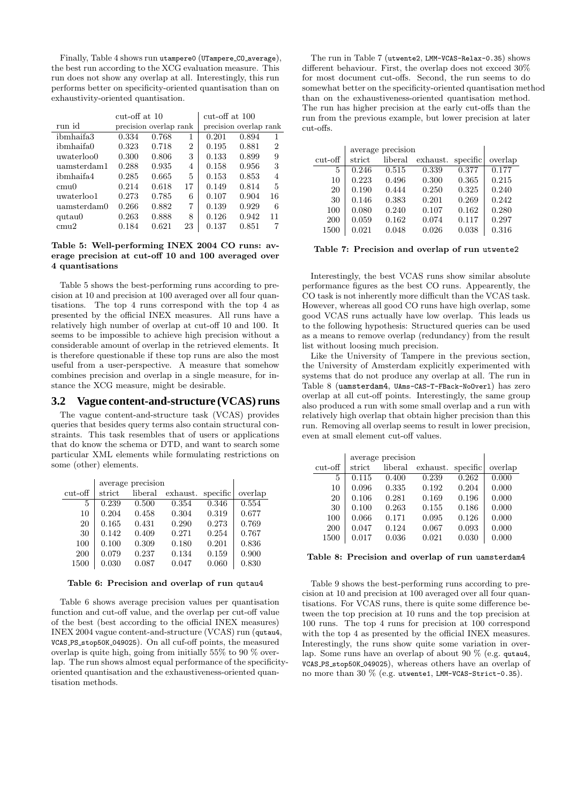Finally, Table 4 shows run utampere0 (UTampere CO average), the best run according to the XCG evaluation measure. This run does not show any overlap at all. Interestingly, this run performs better on specificity-oriented quantisation than on exhaustivity-oriented quantisation.

|                  | $cut-off$ at $10$ |                        | cut-off at $100$ |                        |       |    |
|------------------|-------------------|------------------------|------------------|------------------------|-------|----|
| run id           |                   | precision overlap rank |                  | precision overlap rank |       |    |
| ibmhaifa3        | 0.334             | 0.768                  | 1                | 0.201                  | 0.894 | 1  |
| ibmhaifa0        | 0.323             | 0.718                  | $\overline{2}$   | 0.195                  | 0.881 | 2  |
| uwaterloo0       | 0.300             | 0.806                  | 3                | 0.133                  | 0.899 | 9  |
| uamsterdam1      | 0.288             | 0.935                  | 4                | 0.158                  | 0.956 | 3  |
| ibmhaifa4        | 0.285             | 0.665                  | 5                | 0.153                  | 0.853 | 4  |
| cmu <sub>0</sub> | 0.214             | 0.618                  | 17               | 0.149                  | 0.814 | 5  |
| uwaterloo1       | 0.273             | 0.785                  | 6                | 0.107                  | 0.904 | 16 |
| uamsterdam0      | 0.266             | 0.882                  | 7                | 0.139                  | 0.929 | 6  |
| qutau0           | 0.263             | 0.888                  | 8                | 0.126                  | 0.942 | 11 |
| cmu2             | 0.184             | 0.621                  | 23               | 0.137                  | 0.851 |    |

### Table 5: Well-performing INEX 2004 CO runs: average precision at cut-off 10 and 100 averaged over 4 quantisations

Table 5 shows the best-performing runs according to precision at 10 and precision at 100 averaged over all four quantisations. The top 4 runs correspond with the top 4 as presented by the official INEX measures. All runs have a relatively high number of overlap at cut-off 10 and 100. It seems to be impossible to achieve high precision without a considerable amount of overlap in the retrieved elements. It is therefore questionable if these top runs are also the most useful from a user-perspective. A measure that somehow combines precision and overlap in a single measure, for instance the XCG measure, might be desirable.

### **3.2 Vague content-and-structure (VCAS) runs**

The vague content-and-structure task (VCAS) provides queries that besides query terms also contain structural constraints. This task resembles that of users or applications that do know the schema or DTD, and want to search some particular XML elements while formulating restrictions on some (other) elements.

|           | average precision |         |          |          |         |
|-----------|-------------------|---------|----------|----------|---------|
| $cut-off$ | strict            | liberal | exhaust. | specific | overlap |
| 5         | 0.239             | 0.500   | 0.354    | 0.346    | 0.554   |
| 10        | 0.204             | 0.458   | 0.304    | 0.319    | 0.677   |
| 20        | 0.165             | 0.431   | 0.290    | 0.273    | 0.769   |
| 30        | 0.142             | 0.409   | 0.271    | 0.254    | 0.767   |
| 100       | 0.100             | 0.309   | 0.180    | 0.201    | 0.836   |
| 200       | 0.079             | 0.237   | 0.134    | 0.159    | 0.900   |
| 1500      | 0.030             | 0.087   | 0.047    | 0.060    | 0.830   |

#### Table 6: Precision and overlap of run qutau4

Table 6 shows average precision values per quantisation function and cut-off value, and the overlap per cut-off value of the best (best according to the official INEX measures) INEX 2004 vague content-and-structure (VCAS) run (qutau4, VCAS PS stop50K 049025). On all cuf-off points, the measured overlap is quite high, going from initially 55% to 90 % overlap. The run shows almost equal performance of the specificityoriented quantisation and the exhaustiveness-oriented quantisation methods.

The run in Table 7 (utwente2, LMM-VCAS-Relax-0.35) shows different behaviour. First, the overlap does not exceed 30% for most document cut-offs. Second, the run seems to do somewhat better on the specificity-oriented quantisation method than on the exhaustiveness-oriented quantisation method. The run has higher precision at the early cut-offs than the run from the previous example, but lower precision at later cut-offs.

|           | average precision |         |          |          |         |
|-----------|-------------------|---------|----------|----------|---------|
| $cut-off$ | strict            | liberal | exhaust. | specific | overlap |
| 5         | 0.246             | 0.515   | 0.339    | 0.377    | 0.177   |
| 10        | 0.223             | 0.496   | 0.300    | 0.365    | 0.215   |
| 20        | 0.190             | 0.444   | 0.250    | 0.325    | 0.240   |
| 30        | 0.146             | 0.383   | 0.201    | 0.269    | 0.242   |
| 100       | 0.080             | 0.240   | 0.107    | 0.162    | 0.280   |
| 200       | 0.059             | 0.162   | 0.074    | 0.117    | 0.297   |
| 1500      | 0.021             | 0.048   | 0.026    | 0.038    | 0.316   |

#### Table 7: Precision and overlap of run utwente2

Interestingly, the best VCAS runs show similar absolute performance figures as the best CO runs. Appearently, the CO task is not inherently more difficult than the VCAS task. However, whereas all good CO runs have high overlap, some good VCAS runs actually have low overlap. This leads us to the following hypothesis: Structured queries can be used as a means to remove overlap (redundancy) from the result list without loosing much precision.

Like the University of Tampere in the previous section, the University of Amsterdam explicitly experimented with systems that do not produce any overlap at all. The run in Table 8 (uamsterdam4, UAms-CAS-T-FBack-NoOverl) has zero overlap at all cut-off points. Interestingly, the same group also produced a run with some small overlap and a run with relatively high overlap that obtain higher precision than this run. Removing all overlap seems to result in lower precision, even at small element cut-off values.

|           | average precision |         |          |          |         |
|-----------|-------------------|---------|----------|----------|---------|
| $cut-off$ | strict            | liberal | exhaust. | specific | overlap |
| 5         | 0.115             | 0.400   | 0.239    | 0.262    | 0.000   |
| 10        | 0.096             | 0.335   | 0.192    | 0.204    | 0.000   |
| 20        | 0.106             | 0.281   | 0.169    | 0.196    | 0.000   |
| 30        | 0.100             | 0.263   | 0.155    | 0.186    | 0.000   |
| 100       | 0.066             | 0.171   | 0.095    | 0.126    | 0.000   |
| 200       | 0.047             | 0.124   | 0.067    | 0.093    | 0.000   |
| 1500      | 0.017             | 0.036   | 0.021    | 0.030    | 0.000   |

### Table 8: Precision and overlap of run uamsterdam4

Table 9 shows the best-performing runs according to precision at 10 and precision at 100 averaged over all four quantisations. For VCAS runs, there is quite some difference between the top precision at 10 runs and the top precision at 100 runs. The top 4 runs for precision at 100 correspond with the top 4 as presented by the official INEX measures. Interestingly, the runs show quite some variation in overlap. Some runs have an overlap of about 90  $\%$  (e.g. qutau4, VCAS PS stop50K 049025), whereas others have an overlap of no more than 30  $\%$  (e.g. utwente1, LMM-VCAS-Strict-0.35).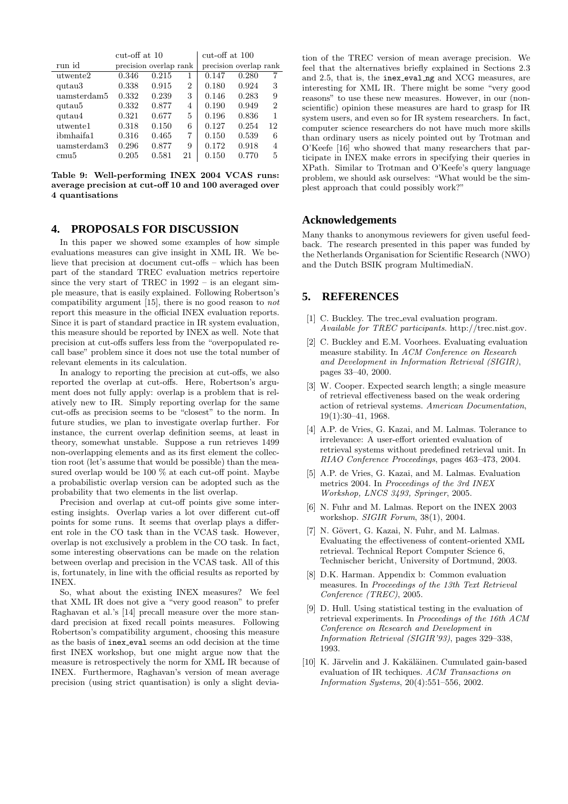|                  | $cut-off$ at 10 |                        |    | $cut-off$ at 100 |                        |                |
|------------------|-----------------|------------------------|----|------------------|------------------------|----------------|
| run id           |                 | precision overlap rank |    |                  | precision overlap rank |                |
| utwente2         | 0.346           | 0.215                  | 1  | 0.147            | 0.280                  |                |
| qutau3           | 0.338           | 0.915                  | 2  | 0.180            | 0.924                  | 3              |
| uamsterdam5      | 0.332           | 0.239                  | 3  | 0.146            | 0.283                  | 9              |
| qutau5           | 0.332           | 0.877                  | 4  | 0.190            | 0.949                  | $\overline{2}$ |
| qutau4           | 0.321           | 0.677                  | 5  | 0.196            | 0.836                  | 1              |
| utwente1         | 0.318           | 0.150                  | 6  | 0.127            | 0.254                  | 12             |
| ibmhaifa1        | 0.316           | 0.465                  | 7  | 0.150            | 0.539                  | 6              |
| uamsterdam3      | 0.296           | 0.877                  | 9  | 0.172            | 0.918                  | 4              |
| cmu <sub>5</sub> | 0.205           | 0.581                  | 21 | 0.150            | 0.770                  | 5              |

Table 9: Well-performing INEX 2004 VCAS runs: average precision at cut-off 10 and 100 averaged over 4 quantisations

### **4. PROPOSALS FOR DISCUSSION**

In this paper we showed some examples of how simple evaluations measures can give insight in XML IR. We believe that precision at document cut-offs – which has been part of the standard TREC evaluation metrics repertoire since the very start of TREC in 1992 – is an elegant simple measure, that is easily explained. Following Robertson's compatibility argument [15], there is no good reason to not report this measure in the official INEX evaluation reports. Since it is part of standard practice in IR system evaluation, this measure should be reported by INEX as well. Note that precision at cut-offs suffers less from the "overpopulated recall base" problem since it does not use the total number of relevant elements in its calculation.

In analogy to reporting the precision at cut-offs, we also reported the overlap at cut-offs. Here, Robertson's argument does not fully apply: overlap is a problem that is relatively new to IR. Simply reporting overlap for the same cut-offs as precision seems to be "closest" to the norm. In future studies, we plan to investigate overlap further. For instance, the current overlap definition seems, at least in theory, somewhat unstable. Suppose a run retrieves 1499 non-overlapping elements and as its first element the collection root (let's assume that would be possible) than the measured overlap would be 100 % at each cut-off point. Maybe a probabilistic overlap version can be adopted such as the probability that two elements in the list overlap.

Precision and overlap at cut-off points give some interesting insights. Overlap varies a lot over different cut-off points for some runs. It seems that overlap plays a different role in the CO task than in the VCAS task. However, overlap is not exclusively a problem in the CO task. In fact, some interesting observations can be made on the relation between overlap and precision in the VCAS task. All of this is, fortunately, in line with the official results as reported by INEX.

So, what about the existing INEX measures? We feel that XML IR does not give a "very good reason" to prefer Raghavan et al.'s [14] precall measure over the more standard precision at fixed recall points measures. Following Robertson's compatibility argument, choosing this measure as the basis of inex eval seems an odd decision at the time first INEX workshop, but one might argue now that the measure is retrospectively the norm for XML IR because of INEX. Furthermore, Raghavan's version of mean average precision (using strict quantisation) is only a slight devia-

tion of the TREC version of mean average precision. We feel that the alternatives briefly explained in Sections 2.3 and 2.5, that is, the inex eval ng and XCG measures, are interesting for XML IR. There might be some "very good reasons" to use these new measures. However, in our (nonscientific) opinion these measures are hard to grasp for IR system users, and even so for IR system researchers. In fact, computer science researchers do not have much more skills than ordinary users as nicely pointed out by Trotman and O'Keefe [16] who showed that many researchers that participate in INEX make errors in specifying their queries in XPath. Similar to Trotman and O'Keefe's query language problem, we should ask ourselves: "What would be the simplest approach that could possibly work?"

### **Acknowledgements**

Many thanks to anonymous reviewers for given useful feedback. The research presented in this paper was funded by the Netherlands Organisation for Scientific Research (NWO) and the Dutch BSIK program MultimediaN.

### **5. REFERENCES**

- [1] C. Buckley. The trec\_eval evaluation program. Available for TREC participants. http://trec.nist.gov.
- [2] C. Buckley and E.M. Voorhees. Evaluating evaluation measure stability. In ACM Conference on Research and Development in Information Retrieval (SIGIR), pages 33–40, 2000.
- [3] W. Cooper. Expected search length; a single measure of retrieval effectiveness based on the weak ordering action of retrieval systems. American Documentation, 19(1):30–41, 1968.
- [4] A.P. de Vries, G. Kazai, and M. Lalmas. Tolerance to irrelevance: A user-effort oriented evaluation of retrieval systems without predefined retrieval unit. In RIAO Conference Proceedings, pages 463–473, 2004.
- [5] A.P. de Vries, G. Kazai, and M. Lalmas. Evaluation metrics 2004. In Proceedings of the 3rd INEX Workshop, LNCS 3493, Springer, 2005.
- [6] N. Fuhr and M. Lalmas. Report on the INEX 2003 workshop. SIGIR Forum, 38(1), 2004.
- [7] N. Gövert, G. Kazai, N. Fuhr, and M. Lalmas. Evaluating the effectiveness of content-oriented XML retrieval. Technical Report Computer Science 6, Technischer bericht, University of Dortmund, 2003.
- [8] D.K. Harman. Appendix b: Common evaluation measures. In Proceedings of the 13th Text Retrieval Conference (TREC), 2005.
- [9] D. Hull. Using statistical testing in the evaluation of retrieval experiments. In Proceedings of the 16th ACM Conference on Research and Development in Information Retrieval (SIGIR'93), pages 329–338, 1993.
- [10] K. Järvelin and J. Kakäläinen. Cumulated gain-based evaluation of IR techiques. ACM Transactions on Information Systems, 20(4):551–556, 2002.